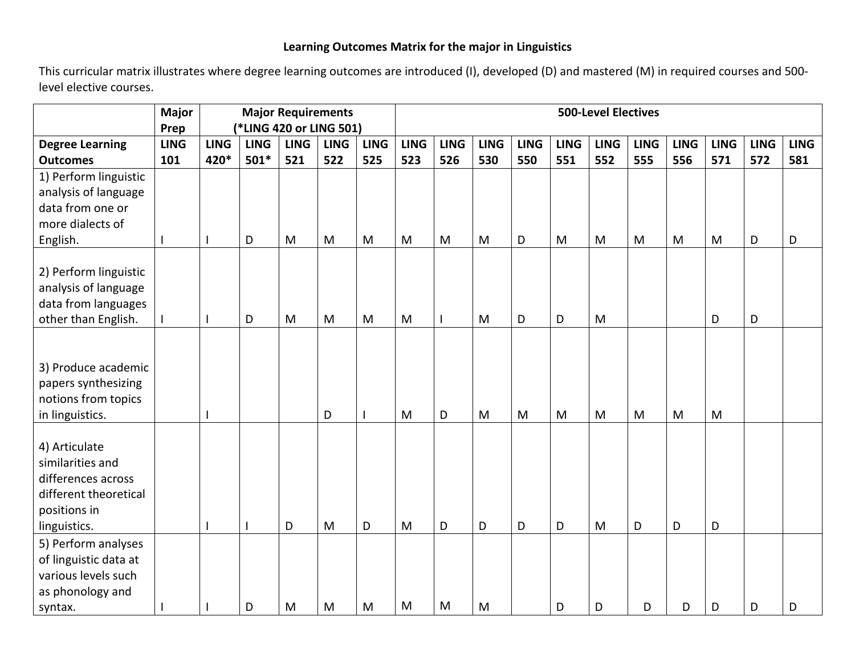## **Learning Outcomes Matrix for the major in Linguistics**

This curricular matrix illustrates where degree learning outcomes are introduced (I), developed (D) and mastered (M) in required courses and 500 level elective courses.

|                        | <b>Major</b><br>Prep | <b>Major Requirements</b><br>(*LING 420 or LING 501) |             |             |             |             |             | <b>500-Level Electives</b> |             |             |             |             |             |             |             |             |             |  |
|------------------------|----------------------|------------------------------------------------------|-------------|-------------|-------------|-------------|-------------|----------------------------|-------------|-------------|-------------|-------------|-------------|-------------|-------------|-------------|-------------|--|
| <b>Degree Learning</b> | <b>LING</b>          | <b>LING</b>                                          | <b>LING</b> | <b>LING</b> | <b>LING</b> | <b>LING</b> | <b>LING</b> | <b>LING</b>                | <b>LING</b> | <b>LING</b> | <b>LING</b> | <b>LING</b> | <b>LING</b> | <b>LING</b> | <b>LING</b> | <b>LING</b> | <b>LING</b> |  |
| <b>Outcomes</b>        | 101                  | 420*                                                 | $501*$      | 521         | 522         | 525         | 523         | 526                        | 530         | 550         | 551         | 552         | 555         | 556         | 571         | 572         | 581         |  |
| 1) Perform linguistic  |                      |                                                      |             |             |             |             |             |                            |             |             |             |             |             |             |             |             |             |  |
| analysis of language   |                      |                                                      |             |             |             |             |             |                            |             |             |             |             |             |             |             |             |             |  |
| data from one or       |                      |                                                      |             |             |             |             |             |                            |             |             |             |             |             |             |             |             |             |  |
| more dialects of       |                      |                                                      |             |             |             |             |             |                            |             |             |             |             |             |             |             |             |             |  |
| English.               |                      |                                                      | D           | M           | M           | M           | M           | M                          | M           | D           | M           | M           | M           | M           | M           | D           | D           |  |
|                        |                      |                                                      |             |             |             |             |             |                            |             |             |             |             |             |             |             |             |             |  |
| 2) Perform linguistic  |                      |                                                      |             |             |             |             |             |                            |             |             |             |             |             |             |             |             |             |  |
| analysis of language   |                      |                                                      |             |             |             |             |             |                            |             |             |             |             |             |             |             |             |             |  |
| data from languages    |                      |                                                      |             |             |             |             |             |                            |             |             |             |             |             |             |             |             |             |  |
| other than English.    |                      |                                                      | D           | M           | M           | M           | M           |                            | M           | D           | D           | M           |             |             | D           | D           |             |  |
|                        |                      |                                                      |             |             |             |             |             |                            |             |             |             |             |             |             |             |             |             |  |
|                        |                      |                                                      |             |             |             |             |             |                            |             |             |             |             |             |             |             |             |             |  |
| 3) Produce academic    |                      |                                                      |             |             |             |             |             |                            |             |             |             |             |             |             |             |             |             |  |
| papers synthesizing    |                      |                                                      |             |             |             |             |             |                            |             |             |             |             |             |             |             |             |             |  |
| notions from topics    |                      |                                                      |             |             |             |             |             |                            |             |             |             |             |             |             |             |             |             |  |
| in linguistics.        |                      |                                                      |             |             | D           |             | M           | D                          | M           | M           | M           | M           | M           | M           | M           |             |             |  |
|                        |                      |                                                      |             |             |             |             |             |                            |             |             |             |             |             |             |             |             |             |  |
| 4) Articulate          |                      |                                                      |             |             |             |             |             |                            |             |             |             |             |             |             |             |             |             |  |
| similarities and       |                      |                                                      |             |             |             |             |             |                            |             |             |             |             |             |             |             |             |             |  |
| differences across     |                      |                                                      |             |             |             |             |             |                            |             |             |             |             |             |             |             |             |             |  |
| different theoretical  |                      |                                                      |             |             |             |             |             |                            |             |             |             |             |             |             |             |             |             |  |
| positions in           |                      |                                                      |             |             |             |             |             |                            |             |             |             |             |             |             |             |             |             |  |
| linguistics.           |                      |                                                      |             | D           | M           | D           | M           | D                          | D           | D           | D           | M           | D           | D           | D           |             |             |  |
| 5) Perform analyses    |                      |                                                      |             |             |             |             |             |                            |             |             |             |             |             |             |             |             |             |  |
| of linguistic data at  |                      |                                                      |             |             |             |             |             |                            |             |             |             |             |             |             |             |             |             |  |
| various levels such    |                      |                                                      |             |             |             |             |             |                            |             |             |             |             |             |             |             |             |             |  |
| as phonology and       |                      |                                                      |             |             |             |             |             |                            |             |             |             |             |             |             |             |             |             |  |
| syntax.                |                      |                                                      | D           | M           | M           | M           | M           | M                          | M           |             | D           | D           | D           | D           | D           | D           | D           |  |